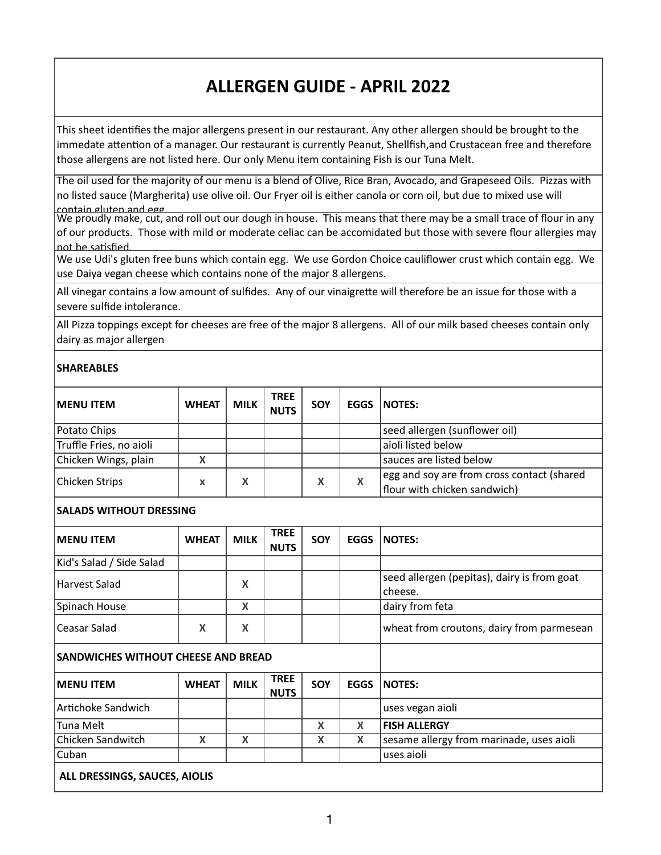## **ALLERGEN GUIDE - APRIL 2022**

This sheet identifies the major allergens present in our restaurant. Any other allergen should be brought to the immedate attention of a manager. Our restaurant is currently Peanut, Shellfish,and Crustacean free and therefore those allergens are not listed here. Our only Menu item containing Fish is our Tuna Melt.

The oil used for the majority of our menu is a blend of Olive, Rice Bran, Avocado, and Grapeseed Oils. Pizzas with no listed sauce (Margherita) use olive oil. Our Fryer oil is either canola or corn oil, but due to mixed use will contain gluten and egg.

We proudly make, cut, and roll out our dough in house. This means that there may be a small trace of flour in any of our products. Those with mild or moderate celiac can be accomidated but those with severe flour allergies may not be satisfied.

We use Udi's gluten free buns which contain egg. We use Gordon Choice cauliflower crust which contain egg. We use Daiya vegan cheese which contains none of the major 8 allergens.

All vinegar contains a low amount of sulfides. Any of our vinaigrette will therefore be an issue for those with a severe sulfide intolerance.

All Pizza toppings except for cheeses are free of the major 8 allergens. All of our milk based cheeses contain only dairy as major allergen

## **SHAREABLES**

| <b>IMENU ITEM</b>       | <b>WHEAT</b> | <b>MILK</b> | <b>TREE</b><br><b>NUTS</b> | <b>SOY</b> | EGGS | NOTES:                                                                     |
|-------------------------|--------------|-------------|----------------------------|------------|------|----------------------------------------------------------------------------|
| Potato Chips            |              |             |                            |            |      | seed allergen (sunflower oil)                                              |
| Truffle Fries, no aioli |              |             |                            |            |      | aioli listed below                                                         |
| Chicken Wings, plain    | Χ            |             |                            |            |      | sauces are listed below                                                    |
| Chicken Strips          | x            | Χ           |                            | Χ          | X    | egg and soy are from cross contact (shared<br>flour with chicken sandwich) |

## **SALADS WITHOUT DRESSING**

| <b>IMENU ITEM</b>                          | <b>WHEAT</b> | <b>MILK</b> | <b>TREE</b><br><b>NUTS</b> | SOY | <b>EGGS</b> | <b>NOTES:</b>                                          |
|--------------------------------------------|--------------|-------------|----------------------------|-----|-------------|--------------------------------------------------------|
| Kid's Salad / Side Salad                   |              |             |                            |     |             |                                                        |
| Harvest Salad                              |              | X           |                            |     |             | seed allergen (pepitas), dairy is from goat<br>cheese. |
| Spinach House                              |              | X           |                            |     |             | dairy from feta                                        |
| l Ceasar Salad                             | X            | X           |                            |     |             | wheat from croutons, dairy from parmesean              |
| <b>SANDWICHES WITHOUT CHEESE AND BREAD</b> |              |             |                            |     |             |                                                        |
| <b>IMENU ITEM</b>                          | <b>WHEAT</b> | <b>MILK</b> | <b>TREE</b><br><b>NUTS</b> | SOY | <b>EGGS</b> | <b>NOTES:</b>                                          |
| Artichoke Sandwich                         |              |             |                            |     |             | uses vegan aioli                                       |
| Tuna Melt                                  |              |             |                            | X   | X           | <b>FISH ALLERGY</b>                                    |
| Chicken Sandwitch                          | X            | X           |                            | X   | X           | sesame allergy from marinade, uses aioli               |
| Cuban                                      |              |             |                            |     |             | uses aioli                                             |
| $\bullet$ BBFCCILLOC CALLOFC               |              |             |                            |     |             |                                                        |

 **ALL DRESSINGS, SAUCES, AIOLIS**